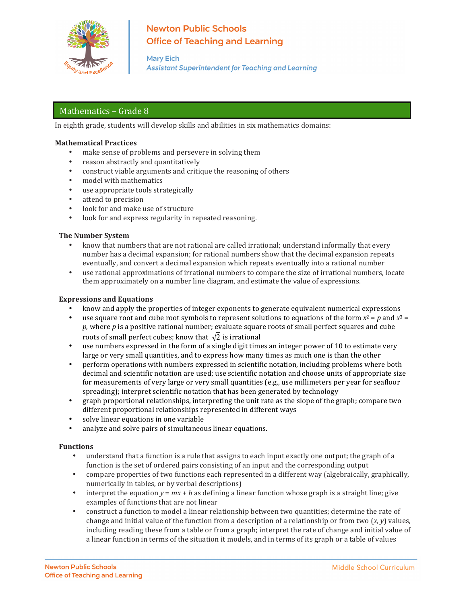

# **Newton Public Schools Office of Teaching and Learning**

**Mary Eich Assistant Superintendent for Teaching and Learning** 

# Mathematics - Grade 8

In eighth grade, students will develop skills and abilities in six mathematics domains:

### **Mathematical Practices**

- make sense of problems and persevere in solving them
- reason abstractly and quantitatively
- construct viable arguments and critique the reasoning of others
- model with mathematics
- use appropriate tools strategically
- attend to precision
- look for and make use of structure
- look for and express regularity in repeated reasoning.

#### **The Number System**

- know that numbers that are not rational are called irrational; understand informally that every number has a decimal expansion; for rational numbers show that the decimal expansion repeats eventually, and convert a decimal expansion which repeats eventually into a rational number
- use rational approximations of irrational numbers to compare the size of irrational numbers, locate them approximately on a number line diagram, and estimate the value of expressions.

#### **Expressions and Equations**

- know and apply the properties of integer exponents to generate equivalent numerical expressions
- use square root and cube root symbols to represent solutions to equations of the form  $x^2 = p$  and  $x^3 =$ *p*, where *p* is a positive rational number; evaluate square roots of small perfect squares and cube roots of small perfect cubes; know that  $\sqrt{2}$  is irrational
- use numbers expressed in the form of a single digit times an integer power of 10 to estimate very large or very small quantities, and to express how many times as much one is than the other
- decimal and scientific notation are used; use scientific notation and choose units of appropriate size perform operations with numbers expressed in scientific notation, including problems where both for measurements of very large or very small quantities (e.g., use millimeters per year for seafloor spreading); interpret scientific notation that has been generated by technology
- graph proportional relationships, interpreting the unit rate as the slope of the graph; compare two different proportional relationships represented in different ways
- solve linear equations in one variable
- analyze and solve pairs of simultaneous linear equations.

#### **Functions**

- understand that a function is a rule that assigns to each input exactly one output; the graph of a function is the set of ordered pairs consisting of an input and the corresponding output
- compare properties of two functions each represented in a different way (algebraically, graphically, numerically in tables, or by verbal descriptions)
- interpret the equation  $y = mx + b$  as defining a linear function whose graph is a straight line; give examples of functions that are not linear
- construct a function to model a linear relationship between two quantities; determine the rate of change and initial value of the function from a description of a relationship or from two  $(x, y)$  values, including reading these from a table or from a graph; interpret the rate of change and initial value of a linear function in terms of the situation it models, and in terms of its graph or a table of values